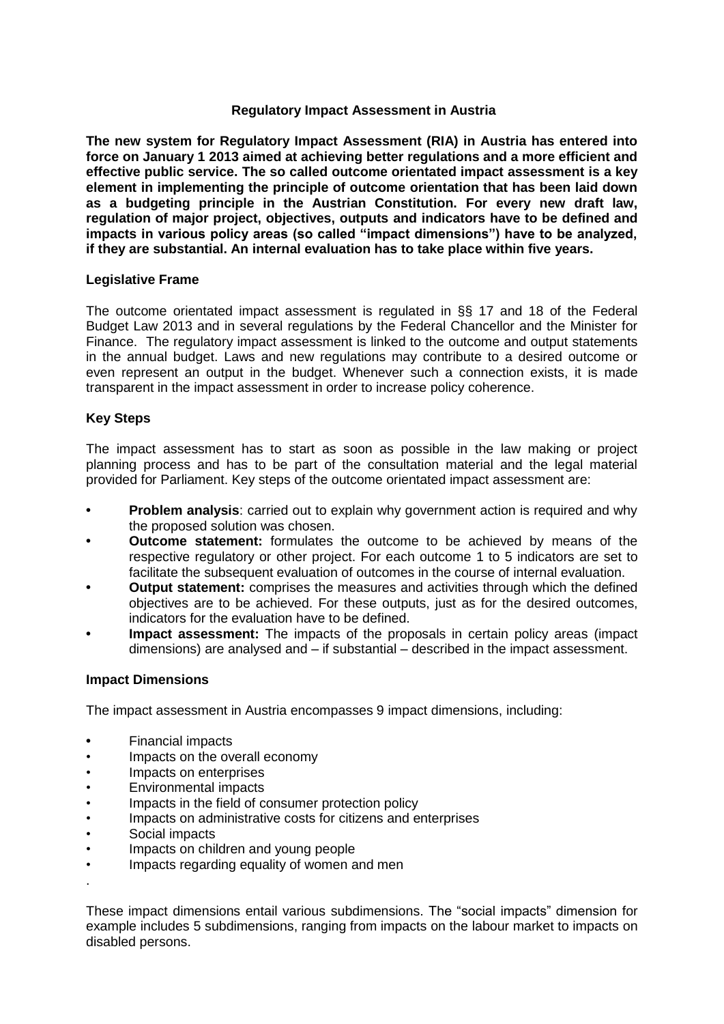# **Regulatory Impact Assessment in Austria**

**The new system for Regulatory Impact Assessment (RIA) in Austria has entered into force on January 1 2013 aimed at achieving better regulations and a more efficient and effective public service. The so called outcome orientated impact assessment is a key element in implementing the principle of outcome orientation that has been laid down as a budgeting principle in the Austrian Constitution. For every new draft law, regulation of major project, objectives, outputs and indicators have to be defined and impacts in various policy areas (so called "impact dimensions") have to be analyzed, if they are substantial. An internal evaluation has to take place within five years.** 

# **Legislative Frame**

The outcome orientated impact assessment is regulated in §§ 17 and 18 of the Federal Budget Law 2013 and in several regulations by the Federal Chancellor and the Minister for Finance. The regulatory impact assessment is linked to the outcome and output statements in the annual budget. Laws and new regulations may contribute to a desired outcome or even represent an output in the budget. Whenever such a connection exists, it is made transparent in the impact assessment in order to increase policy coherence.

# **Key Steps**

The impact assessment has to start as soon as possible in the law making or project planning process and has to be part of the consultation material and the legal material provided for Parliament. Key steps of the outcome orientated impact assessment are:

- **• Problem analysis**: carried out to explain why government action is required and why the proposed solution was chosen.
- **• Outcome statement:** formulates the outcome to be achieved by means of the respective regulatory or other project. For each outcome 1 to 5 indicators are set to facilitate the subsequent evaluation of outcomes in the course of internal evaluation.
- **• Output statement:** comprises the measures and activities through which the defined objectives are to be achieved. For these outputs, just as for the desired outcomes, indicators for the evaluation have to be defined.
- **• Impact assessment:** The impacts of the proposals in certain policy areas (impact dimensions) are analysed and – if substantial – described in the impact assessment.

# **Impact Dimensions**

The impact assessment in Austria encompasses 9 impact dimensions, including:

- **•** Financial impacts
- Impacts on the overall economy
- Impacts on enterprises
- Environmental impacts
- Impacts in the field of consumer protection policy
- Impacts on administrative costs for citizens and enterprises
- Social impacts

.

- Impacts on children and young people
- Impacts regarding equality of women and men

These impact dimensions entail various subdimensions. The "social impacts" dimension for example includes 5 subdimensions, ranging from impacts on the labour market to impacts on disabled persons.